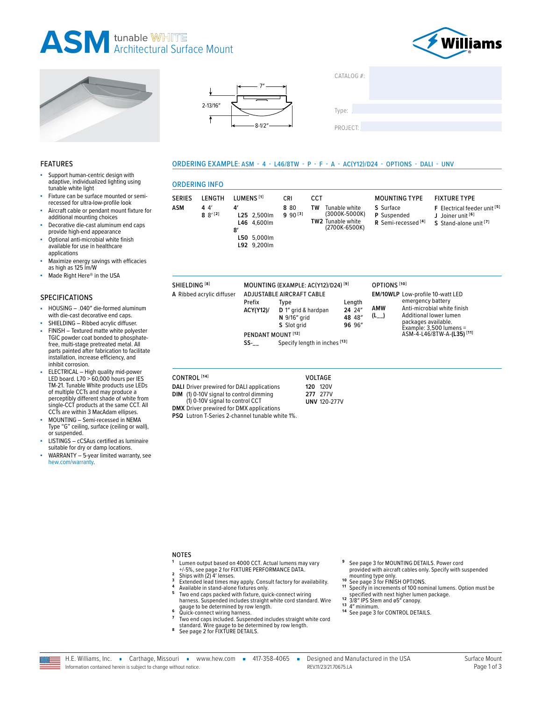# **ASM** tunable WHITE<br>ASM Architectural Surface Mount







| CATALOG #: |  |
|------------|--|
|            |  |
| Type:      |  |
| PROJECT:   |  |

### **FEATURES**

- Support human-centric design with adaptive, individualized lighting using tunable white light
- Fixture can be surface mounted or semirecessed for ultra-low-profile look
- Aircraft cable or pendant mount fixture for additional mounting choices
- Decorative die-cast aluminum end caps provide high-end appearance
- Optional anti-microbial white finish available for use in healthcare applications
- Maximize energy savings with efficacies as high as 125 lm/W
- ä, Made Right Here® in the USA

### **SPECIFICATIONS**

- HOUSING .040" die-formed aluminum with die-cast decorative end caps.
- SHIELDING Ribbed acrylic diffuser.
- FINISH Textured matte white polyester TGIC powder coat bonded to phosphate-<br>free, multi-stage pretreated metal. All<br>parts painted after fabrication to facilitate installation, increase efficiency, and inhibit corrosion.
- ELECTRICAL High quality mid-power<br>LED board. L70 > 60,000 hours per IES TM-21. Tunable White products use LEDs of multiple CCTs and may produce a perceptibly different shade of white from single-CCT products at the same CCT. All<br>CCTs are within 3 MacAdam ellipses.
- MOUNTING Semi-recessed in NEMA Type "G" ceiling, surface (ceiling or wall), or suspended.
- LISTINGS cCSAus certified as luminaire suitable for dry or damp locations.
- WARRANTY 5-year limited warranty, see hew.com/warranty.

# **ORDERING INFO**

ORDERING EXAMPLE: ASM - 4 - L46/8TW - P - F - A - AC(Y12)/D24 - OPTIONS - DALI - UNV

| LENGTH<br><b>SERIES</b><br><b>ASM</b><br>44'<br>$8^{9^{12}}$ | LUMENS <sup>[1]</sup><br>4<br>L25 2.500lm<br>L46 4.600lm<br>8'<br>L50 5.000lm<br>L92 9,200lm | <b>CRI</b><br>8 8 0<br>$990^{[3]}$ | <b>CCT</b><br>Tunable white<br>TW<br>(3000K-5000K)<br><b>TW2</b> Tunable white<br>(2700K-6500K) | <b>MOUNTING TYPE</b><br>S Surface<br>P Suspended<br>R Semi-recessed <sup>[4]</sup> | <b>FIXTURE TYPE</b><br>F Electrical feeder unit [5]<br>J Joiner unit [6]<br>S Stand-alone unit [7] |
|--------------------------------------------------------------|----------------------------------------------------------------------------------------------|------------------------------------|-------------------------------------------------------------------------------------------------|------------------------------------------------------------------------------------|----------------------------------------------------------------------------------------------------|
|--------------------------------------------------------------|----------------------------------------------------------------------------------------------|------------------------------------|-------------------------------------------------------------------------------------------------|------------------------------------------------------------------------------------|----------------------------------------------------------------------------------------------------|

| SHIELDING <sup>[8]</sup>  | MOUNTING (EXAMPLE: AC(Y12)/D24) <sup>[9]</sup>                     |                                                                                                                                 |                                      | OPTIONS <sup>[10]</sup> |                                                                                                                                                                                                             |  |
|---------------------------|--------------------------------------------------------------------|---------------------------------------------------------------------------------------------------------------------------------|--------------------------------------|-------------------------|-------------------------------------------------------------------------------------------------------------------------------------------------------------------------------------------------------------|--|
| A Ribbed acrylic diffuser | Prefix<br><b>ACY(Y12)/</b><br>PENDANT MOUNT <sup>[12]</sup><br>SS- | <b>ADJUSTABLE AIRCRAFT CABLE</b><br>Type<br>D 1" grid & hardpan<br>N 9/16" grid<br>S Slot grid<br>Specify length in inches [13] | Length<br>24 24"<br>48 48"<br>96 96" | AMW<br>$(L_{--})$       | EM/10WLP Low-profile 10-watt LED<br>emergency battery<br>Anti-microbial white finish<br>Additional lower lumen<br>packages available.<br>Example: $3,500$ lumens =<br>ASM-4-L46/8TW-A-(L35) <sup>[11]</sup> |  |

#### CONTROL<sup>[14]</sup>

- **DALI** Driver prewired for DALI applications (1) 0-10V signal to control dimming<br>(1) 0-10V signal to control dimming **DIM**
- **VOLTAGE 120 120V** 277 277V **UNV 120-277V**

**DMX** Driver prewired for DMX applications PSQ Lutron T-Series 2-channel tunable white 1%.

#### **NOTES**

- Lumen output based on 4000 CCT. Actual lumens may vary Example of the Sepage 2 for FIXTURE PERFORMANCE DATA.<br>Ships with (2) 4' lenses.
- $\overline{\mathbf{3}}$
- Surpose the lead times may apply. Consult factory for availability.<br>Extended lead times may apply. Consult factory for availability.<br>Two end caps packed with fixture, quick-connect wiring
- $\overline{a}$ harness. Suspended includes straight white cord standard. Wire
- gauge to be determined by row length.<br>Quick-connect wiring harness.  $6\phantom{a}$
- Two end caps included. Suspended includes straight white cord standard. Wire gauge to be determined by row length.<br>See page 2 for FIXTURE DETAILS.
- 8
- See page 3 for MOUNTING DETAILS. Power cord provided with aircraft cables only. Specify with suspended .<br>mounting type only.
- $10$ See page 3 for FINISH OPTIONS.
- 11 Specify in increments of 100 nominal lumens. Option must be specified with next higher lumen package.
- $12$ 3/8" IPS Stem and ø5" canopy.
- 13
- <sup>13</sup> 4" minimum.<br><sup>14</sup> See page 3 for CONTROL DETAILS.
- H.E. Williams, Inc. Carthage, Missouri vww.hew.com 417-358-4065 -Information contained herein is subject to change without notice

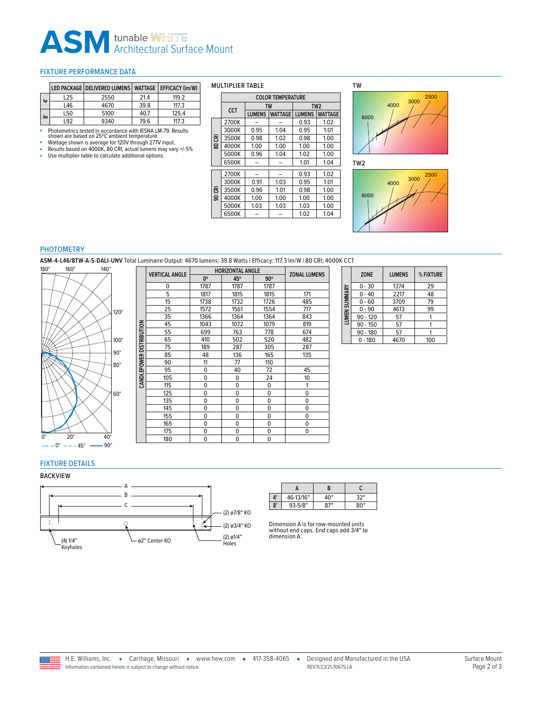# **ASM** tunable WHITE

#### <span id="page-1-0"></span>FIXTURE PERFORMANCE DATA

|                  |     | LED PACKAGE   DELIVERED LUMENS   WATTAGE   EFFICACY (Im/W) |      |       |
|------------------|-----|------------------------------------------------------------|------|-------|
| $\ddot{ }$       | L25 | 2550                                                       | 21.4 | 119.2 |
|                  | L46 | 4670                                                       | 39.8 | 117.3 |
| $\tilde{\infty}$ | L50 | 5100                                                       | 40.7 | 125.4 |
|                  | 192 | 9340                                                       | 79.6 | 117.3 |

- Photometrics tested in accordance with IESNA LM-79. Results<br>- Shown are based on 25°C ambient temperature.<br>- Wattage shown is average for 120V through 277V input.<br>- Results based on 4000K, 80 CRI, actual lumens may vary

- 
- Use multiplier table to calculate additional options.

| <b>MULTIPLIER TABLE</b> |  |
|-------------------------|--|
|                         |  |

|     | <b>COLOR TEMPERATURE</b> |               |                |               |                 |  |
|-----|--------------------------|---------------|----------------|---------------|-----------------|--|
|     | CCT                      |               | <b>TW</b>      |               | TW <sub>2</sub> |  |
|     |                          | <b>LUMENS</b> | <b>WATTAGE</b> | <b>LUMENS</b> | <b>WATTAGE</b>  |  |
|     | 2700K                    |               |                | 0.93          | 1.02            |  |
|     | 3000K                    | 0.95          | 1.04           | 0.95          | 1.01            |  |
| కె  | 3500K                    | 0.98          | 1.02           | 0.98          | 1.00            |  |
| ន្ល | 4000K                    | 1.00          | 1.00           | 1.00          | 1.00            |  |
|     | 5000K                    | 0.96          | 1.04           | 1.02          | 1.00            |  |
|     | 6500K                    |               |                | 1.01          | 1.04            |  |
|     | 2700K                    |               |                | 0.93          | 1.02            |  |
|     | 3000K                    | 0.91          | 1.03           | 0.95          | 1.01            |  |
| පි  | 3500K                    | 0.96          | 1.01           | 0.98          | 1.00            |  |
| ഭ   | 4000K                    | 1.00          | 1.00           | 1.00          | 1.00            |  |
|     | 5000K                    | 1.03          | 1.03           | 1.03          | 1.00            |  |
|     | 6500K                    |               |                | 1.02          | 1.04            |  |





TW2



#### PHOTOMETRY

**ASM-4-L46/8TW-A-S-DALI-UNV** Total Luminaire Output: 4670 lumens; 39.8 Watts | Efficacy: 117.3 lm/W | 80 CRI; 4000K CCT



|                     | <b>VERTICAL ANGLE</b> | <b>HORIZONTAL ANGLE</b> | <b>ZONAL LUMENS</b> |             |     |
|---------------------|-----------------------|-------------------------|---------------------|-------------|-----|
|                     |                       | 0°                      | 45°                 | $90^\circ$  |     |
|                     | 0                     | 1787                    | 1787                | 1787        |     |
|                     | 5                     | 1817                    | 1815                | 1815        | 171 |
|                     | 15                    | 1738                    | 1732                | 1726        | 485 |
|                     | 25                    | 1572                    | 1561                | 1554        | 717 |
|                     | 35                    | 1366                    | 1364                | 1364        | 843 |
|                     | 45                    | 1043                    | 1072                | 1079        | 819 |
|                     | 55                    | 699                     | 763                 | 778         | 674 |
| <b>DISTRIBUTION</b> | 65                    | 410                     | 502                 | 520         | 482 |
|                     | 75                    | 189                     | 287                 | 305         | 287 |
|                     | 85                    | 48                      | 136                 | 165         | 135 |
|                     | 90                    | 11                      | 77                  | 110         |     |
| CANDLEPOWER         | 95                    | $\Omega$                | 40                  | 72          | 45  |
|                     | 105                   | 0                       | 0                   | 24          | 10  |
|                     | 115                   | 0                       | 0                   | $\mathbf 0$ | 1   |
|                     | 125                   | 0                       | $\mathbf 0$         | $\mathbf 0$ | 0   |
|                     | 135                   | 0                       | $\mathbf 0$         | $\mathbf 0$ | 0   |
|                     | 145                   | 0                       | $\Omega$            | $\Omega$    | 0   |
|                     | 155                   | 0                       | $\mathbf 0$         | $\mathbf 0$ | 0   |
|                     | 165                   | 0                       | $\mathbf 0$         | $\mathbf 0$ | 0   |
|                     | 175                   | 0                       | $\mathbf 0$         | $\mathbf 0$ | 0   |
|                     | 180                   | 0                       | $\mathbf 0$         | $\mathbf 0$ |     |

|               | <b>ZONE</b> | <b>LUMENS</b> | % FIXTURE |
|---------------|-------------|---------------|-----------|
|               | $0 - 30$    | 1374          | 29        |
|               | $0 - 40$    | 2217          | 48        |
| LUMEN SUMMARY | $0 - 60$    | 3709          | 79        |
|               | $0 - 90$    | 4613          | 99        |
|               | $90 - 120$  | 57            |           |
|               | $90 - 150$  | 57            |           |
|               | $90 - 180$  | 57            |           |
|               | $0 - 180$   | 4670          | 100       |

# <span id="page-1-1"></span>FIXTURE DETAILS

#### BACKVIEW



|                       |             | B    |      |
|-----------------------|-------------|------|------|
| $\mathbf{A}^{\prime}$ | 46-13/16"   | ∕\∩/ | 32"  |
| 8                     | $93 - 5/8"$ | 87'' | 80'' |

Dimension A is for row-mounted units without end caps. End caps add 3/4″ to dimension A.